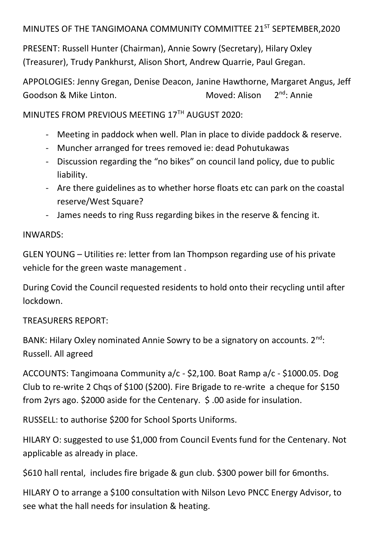MINUTES OF THE TANGIMOANA COMMUNITY COMMITTEE 21<sup>ST</sup> SEPTEMBER, 2020

PRESENT: Russell Hunter (Chairman), Annie Sowry (Secretary), Hilary Oxley (Treasurer), Trudy Pankhurst, Alison Short, Andrew Quarrie, Paul Gregan.

APPOLOGIES: Jenny Gregan, Denise Deacon, Janine Hawthorne, Margaret Angus, Jeff Goodson & Mike Linton. The Coodson & Mike Linton. 2<sup>nd</sup>: Annie

MINUTES FROM PREVIOUS MEETING 17<sup>TH</sup> AUGUST 2020:

- Meeting in paddock when well. Plan in place to divide paddock & reserve.
- Muncher arranged for trees removed ie: dead Pohutukawas
- Discussion regarding the "no bikes" on council land policy, due to public liability.
- Are there guidelines as to whether horse floats etc can park on the coastal reserve/West Square?
- James needs to ring Russ regarding bikes in the reserve & fencing it.

## INWARDS:

GLEN YOUNG – Utilities re: letter from Ian Thompson regarding use of his private vehicle for the green waste management .

During Covid the Council requested residents to hold onto their recycling until after lockdown.

## TREASURERS REPORT:

BANK: Hilary Oxley nominated Annie Sowry to be a signatory on accounts. 2<sup>nd</sup>: Russell. All agreed

ACCOUNTS: Tangimoana Community a/c - \$2,100. Boat Ramp a/c - \$1000.05. Dog Club to re-write 2 Chas of \$100 (\$200). Fire Brigade to re-write a cheque for \$150 from 2yrs ago. \$2000 aside for the Centenary. \$ .00 aside for insulation.

RUSSELL: to authorise \$200 for School Sports Uniforms.

HILARY O: suggested to use \$1,000 from Council Events fund for the Centenary. Not applicable as already in place.

\$610 hall rental, includes fire brigade & gun club. \$300 power bill for 6months.

HILARY O to arrange a \$100 consultation with Nilson Levo PNCC Energy Advisor, to see what the hall needs for insulation & heating.